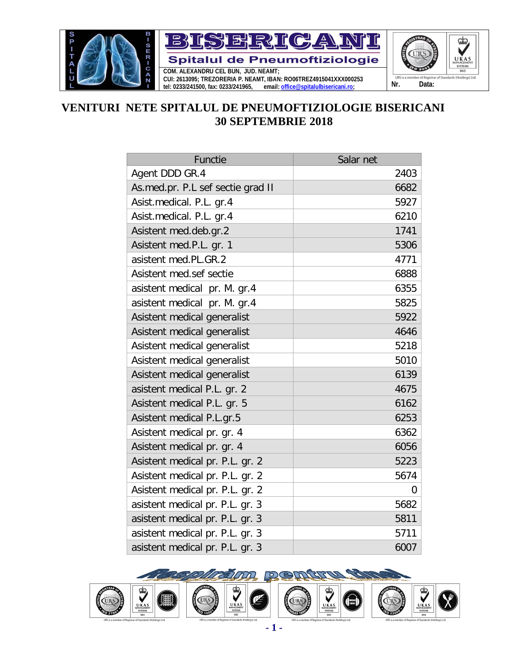

## **VENITURI NETE SPITALUL DE PNEUMOFTIZIOLOGIE BISERICANI 30 SEPTEMBRIE 2018**

| Functie                           | Salar net |
|-----------------------------------|-----------|
| Agent DDD GR.4                    | 2403      |
| As.med.pr. P.L sef sectie grad II | 6682      |
| Asist.medical. P.L. gr.4          | 5927      |
| Asist.medical. P.L. gr.4          | 6210      |
| Asistent med.deb.gr.2             | 1741      |
| Asistent med.P.L. gr. 1           | 5306      |
| asistent med.PL.GR.2              | 4771      |
| Asistent med.sef sectie           | 6888      |
| asistent medical pr. M. gr.4      | 6355      |
| asistent medical pr. M. gr.4      | 5825      |
| Asistent medical generalist       | 5922      |
| Asistent medical generalist       | 4646      |
| Asistent medical generalist       | 5218      |
| Asistent medical generalist       | 5010      |
| Asistent medical generalist       | 6139      |
| asistent medical P.L. gr. 2       | 4675      |
| Asistent medical P.L. gr. 5       | 6162      |
| Asistent medical P.L.gr.5         | 6253      |
| Asistent medical pr. gr. 4        | 6362      |
| Asistent medical pr. gr. 4        | 6056      |
| Asistent medical pr. P.L. gr. 2   | 5223      |
| Asistent medical pr. P.L. gr. 2   | 5674      |
| Asistent medical pr. P.L. gr. 2   | 0         |
| asistent medical pr. P.L. gr. 3   | 5682      |
| asistent medical pr. P.L. gr. 3   | 5811      |
| asistent medical pr. P.L. gr. 3   | 5711      |
| asistent medical pr. P.L. gr. 3   | 6007      |

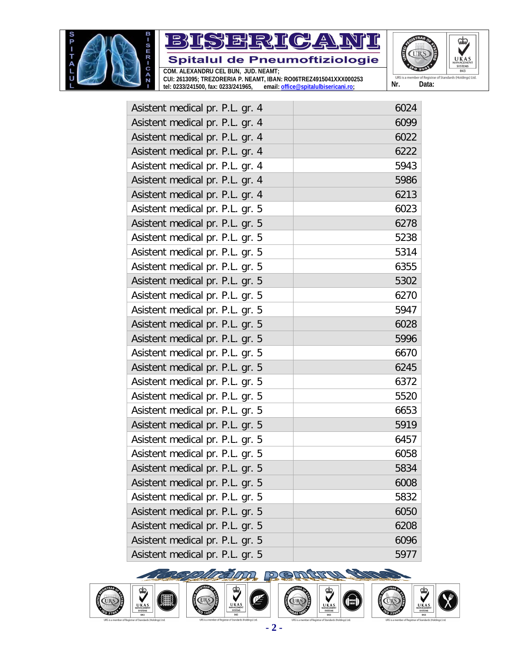



**CUI: 2613095; TREZORERIA P. NEAMT, IBAN: RO06TREZ4915041XXX000253 tel: 0233/241500, fax: 0233/241965, email: [office@spitalulbisericani.ro;](mailto:office@spitalulbisericani.ro;)**



| Asistent medical pr. P.L. gr. 4 | 6024 |
|---------------------------------|------|
| Asistent medical pr. P.L. gr. 4 | 6099 |
| Asistent medical pr. P.L. gr. 4 | 6022 |
| Asistent medical pr. P.L. gr. 4 | 6222 |
| Asistent medical pr. P.L. gr. 4 | 5943 |
| Asistent medical pr. P.L. gr. 4 | 5986 |
| Asistent medical pr. P.L. gr. 4 | 6213 |
| Asistent medical pr. P.L. gr. 5 | 6023 |
| Asistent medical pr. P.L. gr. 5 | 6278 |
| Asistent medical pr. P.L. gr. 5 | 5238 |
| Asistent medical pr. P.L. gr. 5 | 5314 |
| Asistent medical pr. P.L. gr. 5 | 6355 |
| Asistent medical pr. P.L. gr. 5 | 5302 |
| Asistent medical pr. P.L. gr. 5 | 6270 |
| Asistent medical pr. P.L. gr. 5 | 5947 |
| Asistent medical pr. P.L. gr. 5 | 6028 |
| Asistent medical pr. P.L. gr. 5 | 5996 |
| Asistent medical pr. P.L. gr. 5 | 6670 |
| Asistent medical pr. P.L. gr. 5 | 6245 |
| Asistent medical pr. P.L. gr. 5 | 6372 |
| Asistent medical pr. P.L. gr. 5 | 5520 |
| Asistent medical pr. P.L. gr. 5 | 6653 |
| Asistent medical pr. P.L. gr. 5 | 5919 |
| Asistent medical pr. P.L. gr. 5 | 6457 |
| Asistent medical pr. P.L. gr. 5 | 6058 |
| Asistent medical pr. P.L. gr. 5 | 5834 |
| Asistent medical pr. P.L. gr. 5 | 6008 |
| Asistent medical pr. P.L. gr. 5 | 5832 |
| Asistent medical pr. P.L. gr. 5 | 6050 |
| Asistent medical pr. P.L. gr. 5 | 6208 |
| Asistent medical pr. P.L. gr. 5 | 6096 |
| Asistent medical pr. P.L. gr. 5 | 5977 |















**- 2 -**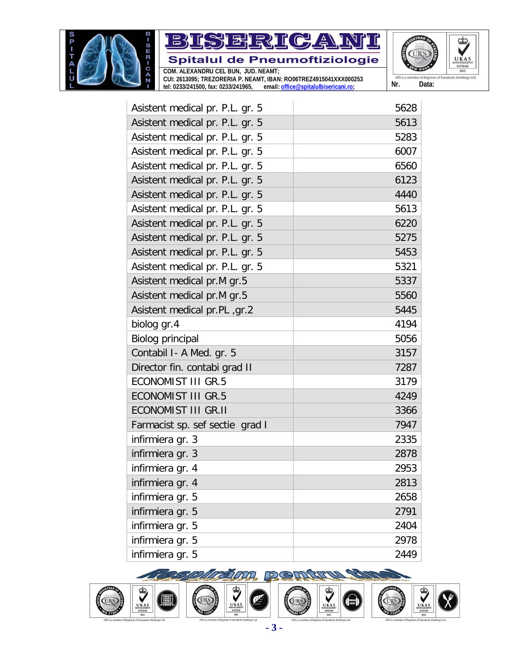





**CUI: 2613095; TREZORERIA P. NEAMT, IBAN: RO06TREZ4915041XXX000253 tel: 0233/241500, fax: 0233/241965, email: [office@spitalulbisericani.ro;](mailto:office@spitalulbisericani.ro;)**

| Asistent medical pr. P.L. gr. 5 | 5628 |
|---------------------------------|------|
| Asistent medical pr. P.L. gr. 5 | 5613 |
| Asistent medical pr. P.L. gr. 5 | 5283 |
| Asistent medical pr. P.L. gr. 5 | 6007 |
| Asistent medical pr. P.L. gr. 5 | 6560 |
| Asistent medical pr. P.L. gr. 5 | 6123 |
| Asistent medical pr. P.L. gr. 5 | 4440 |
| Asistent medical pr. P.L. gr. 5 | 5613 |
| Asistent medical pr. P.L. gr. 5 | 6220 |
| Asistent medical pr. P.L. gr. 5 | 5275 |
| Asistent medical pr. P.L. gr. 5 | 5453 |
| Asistent medical pr. P.L. gr. 5 | 5321 |
| Asistent medical pr.M gr.5      | 5337 |
| Asistent medical pr.M gr.5      | 5560 |
| Asistent medical pr.PL, gr.2    | 5445 |
| biolog gr.4                     | 4194 |
| Biolog principal                | 5056 |
| Contabil I- A Med. gr. 5        | 3157 |
| Director fin. contabi grad II   | 7287 |
| <b>ECONOMIST III GR.5</b>       | 3179 |
| <b>ECONOMIST III GR.5</b>       | 4249 |
| <b>ECONOMIST III GR.II</b>      | 3366 |
| Farmacist sp. sef sectie grad I | 7947 |
| infirmiera gr. 3                | 2335 |
| infirmiera gr. 3                | 2878 |
| infirmiera gr. 4                | 2953 |
| infirmiera gr. 4                | 2813 |
| infirmiera gr. 5                | 2658 |
| infirmiera gr. 5                | 2791 |
| infirmiera gr. 5                | 2404 |
| infirmiera gr. 5                | 2978 |
| infirmiera gr. 5                | 2449 |



Œ

**CONTROL** 

 $\overline{a}$ 



 $\overline{\mathbf{Q}}$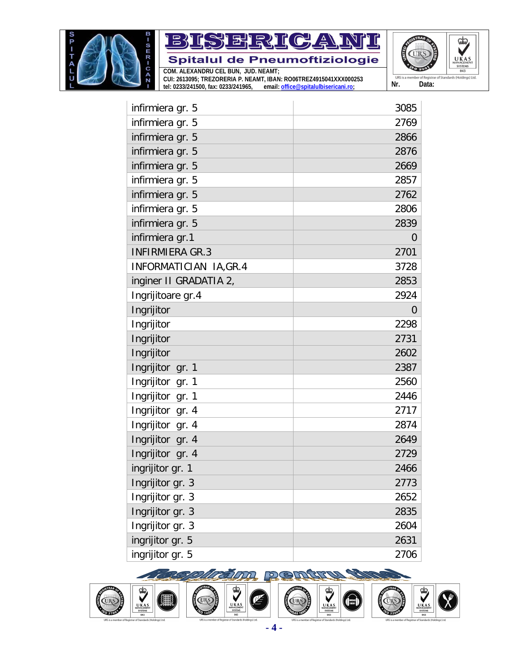



**CUI: 2613095; TREZORERIA P. NEAMT, IBAN: RO06TREZ4915041XXX000253 tel: 0233/241500, fax: 0233/241965, email: [office@spitalulbisericani.ro;](mailto:office@spitalulbisericani.ro;)**



| infirmiera gr. 5       | 3085 |
|------------------------|------|
| infirmiera gr. 5       | 2769 |
| infirmiera gr. 5       | 2866 |
| infirmiera gr. 5       | 2876 |
| infirmiera gr. 5       | 2669 |
| infirmiera gr. 5       | 2857 |
| infirmiera gr. 5       | 2762 |
| infirmiera gr. 5       | 2806 |
| infirmiera gr. 5       | 2839 |
| infirmiera gr.1        | 0    |
| <b>INFIRMIERA GR.3</b> | 2701 |
| INFORMATICIAN IA, GR.4 | 3728 |
| inginer II GRADATIA 2, | 2853 |
| Ingrijitoare gr.4      | 2924 |
| Ingrijitor             | 0    |
| Ingrijitor             | 2298 |
| Ingrijitor             | 2731 |
| Ingrijitor             | 2602 |
| Ingrijitor gr. 1       | 2387 |
| Ingrijitor gr. 1       | 2560 |
| Ingrijitor gr. 1       | 2446 |
| Ingrijitor gr. 4       | 2717 |
| Ingrijitor gr. 4       | 2874 |
| Ingrijitor gr. 4       | 2649 |
| Ingrijitor gr. 4       | 2729 |
| ingrijitor gr. 1       | 2466 |
| Ingrijitor gr. 3       | 2773 |
| Ingrijitor gr. 3       | 2652 |
| Ingrijitor gr. 3       | 2835 |
| Ingrijitor gr. 3       | 2604 |
| ingrijitor gr. 5       | 2631 |
| ingrijitor gr. 5       | 2706 |





*ellzalijn* 

UKAS<br>UKAS<br>SYSTEMS<br>043





1

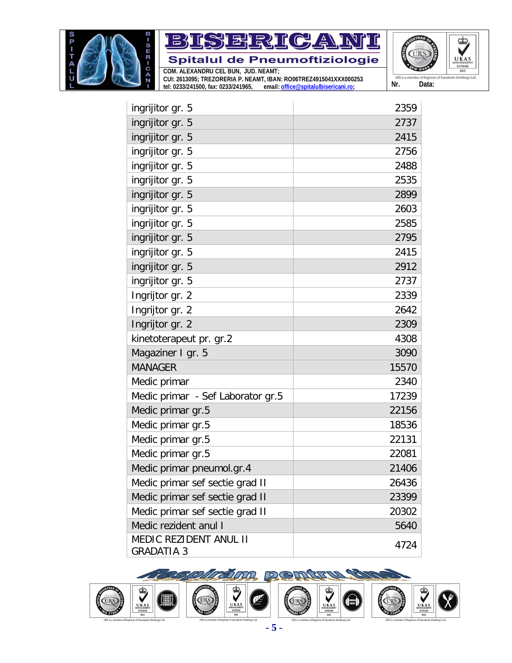



**tel: 0233/241500, fax: 0233/241965, email: [office@spitalulbisericani.ro;](mailto:office@spitalulbisericani.ro;)**



| ingrijitor gr. 5                                   | 2359  |
|----------------------------------------------------|-------|
| ingrijitor gr. 5                                   | 2737  |
| ingrijitor gr. 5                                   | 2415  |
| ingrijitor gr. 5                                   | 2756  |
| ingrijitor gr. 5                                   | 2488  |
| ingrijitor gr. 5                                   | 2535  |
| ingrijitor gr. 5                                   | 2899  |
| ingrijitor gr. 5                                   | 2603  |
| ingrijitor gr. 5                                   | 2585  |
| ingrijitor gr. 5                                   | 2795  |
| ingrijitor gr. 5                                   | 2415  |
| ingrijitor gr. 5                                   | 2912  |
| ingrijitor gr. 5                                   | 2737  |
| Ingrijtor gr. 2                                    | 2339  |
| Ingrijtor gr. 2                                    | 2642  |
| Ingrijtor gr. 2                                    | 2309  |
| kinetoterapeut pr. gr.2                            | 4308  |
| Magaziner I gr. 5                                  | 3090  |
| <b>MANAGER</b>                                     | 15570 |
| Medic primar                                       | 2340  |
| Medic primar - Sef Laborator gr.5                  | 17239 |
| Medic primar gr.5                                  | 22156 |
| Medic primar gr.5                                  | 18536 |
| Medic primar gr.5                                  | 22131 |
| Medic primar gr.5                                  | 22081 |
| Medic primar pneumol.gr.4                          | 21406 |
| Medic primar sef sectie grad II                    | 26436 |
| Medic primar sef sectie grad II                    | 23399 |
| Medic primar sef sectie grad II                    | 20302 |
| Medic rezident anul I                              | 5640  |
| <b>MEDIC REZIDENT ANUL II</b><br><b>GRADATIA 3</b> | 4724  |

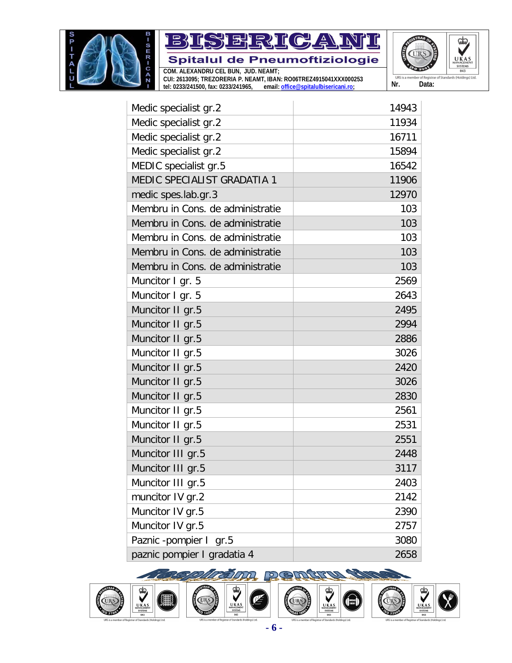



**tel: 0233/241500, fax: 0233/241965, email: [office@spitalulbisericani.ro;](mailto:office@spitalulbisericani.ro;)**



| Medic specialist gr.2            | 14943 |
|----------------------------------|-------|
| Medic specialist gr.2            | 11934 |
| Medic specialist gr.2            | 16711 |
| Medic specialist gr.2            | 15894 |
| MEDIC specialist gr.5            | 16542 |
| MEDIC SPECIALIST GRADATIA 1      | 11906 |
| medic spes.lab.gr.3              | 12970 |
| Membru in Cons. de administratie | 103   |
| Membru in Cons. de administratie | 103   |
| Membru in Cons. de administratie | 103   |
| Membru in Cons. de administratie | 103   |
| Membru in Cons. de administratie | 103   |
| Muncitor I gr. 5                 | 2569  |
| Muncitor I gr. 5                 | 2643  |
| Muncitor II gr.5                 | 2495  |
| Muncitor II gr.5                 | 2994  |
| Muncitor II gr.5                 | 2886  |
| Muncitor II gr.5                 | 3026  |
| Muncitor II gr.5                 | 2420  |
| Muncitor II gr.5                 | 3026  |
| Muncitor II gr.5                 | 2830  |
| Muncitor II gr.5                 | 2561  |
| Muncitor II gr.5                 | 2531  |
| Muncitor II gr.5                 | 2551  |
| Muncitor III gr.5                | 2448  |
| Muncitor III gr.5                | 3117  |
| Muncitor III gr.5                | 2403  |
| muncitor IV gr.2                 | 2142  |
| Muncitor IV gr.5                 | 2390  |
| Muncitor IV gr.5                 | 2757  |
| Paznic -pompier I gr.5           | 3080  |
| paznic pompier I gradatia 4      | 2658  |